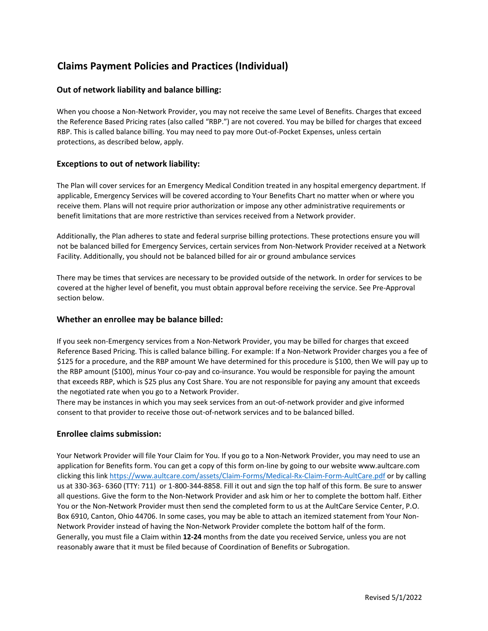# **Claims Payment Policies and Practices (Individual)**

# **Out of network liability and balance billing:**

When you choose a Non-Network Provider, you may not receive the same Level of Benefits. Charges that exceed the Reference Based Pricing rates (also called "RBP.") are not covered. You may be billed for charges that exceed RBP. This is called balance billing. You may need to pay more Out-of-Pocket Expenses, unless certain protections, as described below, apply.

# **Exceptions to out of network liability:**

The Plan will cover services for an Emergency Medical Condition treated in any hospital emergency department. If applicable, Emergency Services will be covered according to Your Benefits Chart no matter when or where you receive them. Plans will not require prior authorization or impose any other administrative requirements or benefit limitations that are more restrictive than services received from a Network provider.

Additionally, the Plan adheres to state and federal surprise billing protections. These protections ensure you will not be balanced billed for Emergency Services, certain services from Non-Network Provider received at a Network Facility. Additionally, you should not be balanced billed for air or ground ambulance services

There may be times that services are necessary to be provided outside of the network. In order for services to be covered at the higher level of benefit, you must obtain approval before receiving the service. See Pre-Approval section below.

## **Whether an enrollee may be balance billed:**

If you seek non-Emergency services from a Non-Network Provider, you may be billed for charges that exceed Reference Based Pricing. This is called balance billing. For example: If a Non-Network Provider charges you a fee of \$125 for a procedure, and the RBP amount We have determined for this procedure is \$100, then We will pay up to the RBP amount (\$100), minus Your co-pay and co-insurance. You would be responsible for paying the amount that exceeds RBP, which is \$25 plus any Cost Share. You are not responsible for paying any amount that exceeds the negotiated rate when you go to a Network Provider.

There may be instances in which you may seek services from an out-of-network provider and give informed consent to that provider to receive those out-of-network services and to be balanced billed.

# **Enrollee claims submission:**

Your Network Provider will file Your Claim for You. If you go to a Non-Network Provider, you may need to use an application for Benefits form. You can get a copy of this form on-line by going to our website www.aultcare.com clicking this lin[k https://www.aultcare.com/assets/Claim-Forms/Medical-Rx-Claim-Form-AultCare.pdf](https://www.aultcare.com/assets/Claim-Forms/Medical-Rx-Claim-Form-AultCare.pdf) or by calling us at 330-363- 6360 (TTY: 711) or 1-800-344-8858. Fill it out and sign the top half of this form. Be sure to answer all questions. Give the form to the Non-Network Provider and ask him or her to complete the bottom half. Either You or the Non-Network Provider must then send the completed form to us at the AultCare Service Center, P.O. Box 6910, Canton, Ohio 44706. In some cases, you may be able to attach an itemized statement from Your Non-Network Provider instead of having the Non-Network Provider complete the bottom half of the form. Generally, you must file a Claim within **12-24** months from the date you received Service, unless you are not reasonably aware that it must be filed because of Coordination of Benefits or Subrogation.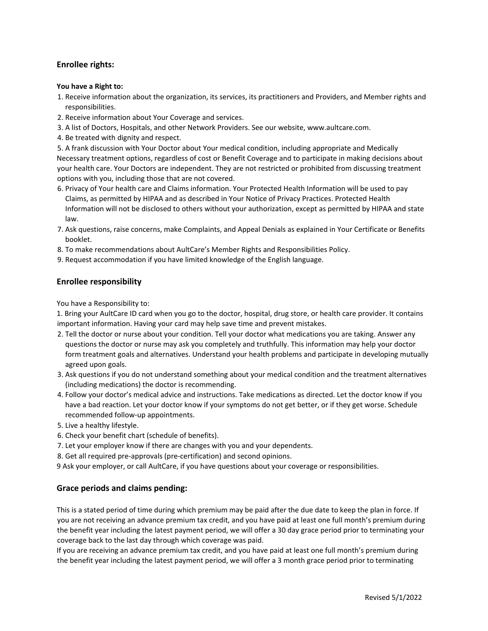# **Enrollee rights:**

#### **You have a Right to:**

- 1. Receive information about the organization, its services, its practitioners and Providers, and Member rights and responsibilities.
- 2. Receive information about Your Coverage and services.
- 3. A list of Doctors, Hospitals, and other Network Providers. See our website, www.aultcare.com.
- 4. Be treated with dignity and respect.

5. A frank discussion with Your Doctor about Your medical condition, including appropriate and Medically Necessary treatment options, regardless of cost or Benefit Coverage and to participate in making decisions about your health care. Your Doctors are independent. They are not restricted or prohibited from discussing treatment options with you, including those that are not covered.

- 6. Privacy of Your health care and Claims information. Your Protected Health Information will be used to pay Claims, as permitted by HIPAA and as described in Your Notice of Privacy Practices. Protected Health Information will not be disclosed to others without your authorization, except as permitted by HIPAA and state law.
- 7. Ask questions, raise concerns, make Complaints, and Appeal Denials as explained in Your Certificate or Benefits booklet.
- 8. To make recommendations about AultCare's Member Rights and Responsibilities Policy.
- 9. Request accommodation if you have limited knowledge of the English language.

## **Enrollee responsibility**

You have a Responsibility to:

1. Bring your AultCare ID card when you go to the doctor, hospital, drug store, or health care provider. It contains important information. Having your card may help save time and prevent mistakes.

- 2. Tell the doctor or nurse about your condition. Tell your doctor what medications you are taking. Answer any questions the doctor or nurse may ask you completely and truthfully. This information may help your doctor form treatment goals and alternatives. Understand your health problems and participate in developing mutually agreed upon goals.
- 3. Ask questions if you do not understand something about your medical condition and the treatment alternatives (including medications) the doctor is recommending.
- 4. Follow your doctor's medical advice and instructions. Take medications as directed. Let the doctor know if you have a bad reaction. Let your doctor know if your symptoms do not get better, or if they get worse. Schedule recommended follow-up appointments.
- 5. Live a healthy lifestyle.
- 6. Check your benefit chart (schedule of benefits).
- 7. Let your employer know if there are changes with you and your dependents.
- 8. Get all required pre-approvals (pre-certification) and second opinions.

9 Ask your employer, or call AultCare, if you have questions about your coverage or responsibilities.

#### **Grace periods and claims pending:**

This is a stated period of time during which premium may be paid after the due date to keep the plan in force. If you are not receiving an advance premium tax credit, and you have paid at least one full month's premium during the benefit year including the latest payment period, we will offer a 30 day grace period prior to terminating your coverage back to the last day through which coverage was paid.

If you are receiving an advance premium tax credit, and you have paid at least one full month's premium during the benefit year including the latest payment period, we will offer a 3 month grace period prior to terminating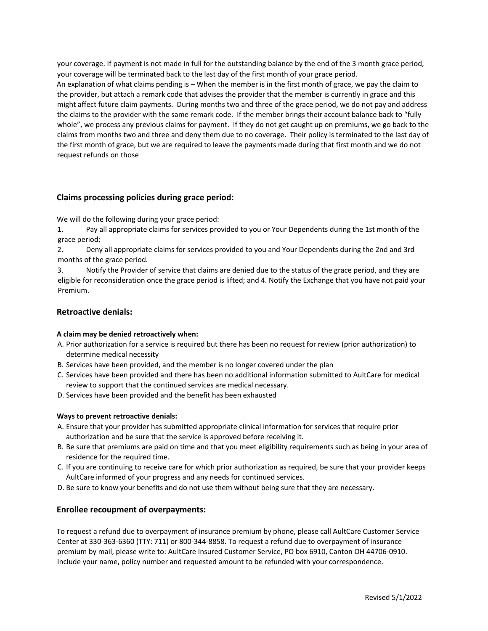your coverage. If payment is not made in full for the outstanding balance by the end of the 3 month grace period, your coverage will be terminated back to the last day of the first month of your grace period. An explanation of what claims pending is – When the member is in the first month of grace, we pay the claim to the provider, but attach a remark code that advises the provider that the member is currently in grace and this might affect future claim payments. During months two and three of the grace period, we do not pay and address the claims to the provider with the same remark code. If the member brings their account balance back to "fully whole", we process any previous claims for payment. If they do not get caught up on premiums, we go back to the claims from months two and three and deny them due to no coverage. Their policy is terminated to the last day of the first month of grace, but we are required to leave the payments made during that first month and we do not request refunds on those

# **Claims processing policies during grace period:**

We will do the following during your grace period:

1. Pay all appropriate claims for services provided to you or Your Dependents during the 1st month of the grace period;

2. Deny all appropriate claims for services provided to you and Your Dependents during the 2nd and 3rd months of the grace period.

3. Notify the Provider of service that claims are denied due to the status of the grace period, and they are eligible for reconsideration once the grace period is lifted; and 4. Notify the Exchange that you have not paid your Premium.

## **Retroactive denials:**

#### **A claim may be denied retroactively when:**

- A. Prior authorization for a service is required but there has been no request for review (prior authorization) to determine medical necessity
- B. Services have been provided, and the member is no longer covered under the plan
- C. Services have been provided and there has been no additional information submitted to AultCare for medical review to support that the continued services are medical necessary.
- D. Services have been provided and the benefit has been exhausted

#### **Ways to prevent retroactive denials:**

- A. Ensure that your provider has submitted appropriate clinical information for services that require prior authorization and be sure that the service is approved before receiving it.
- B. Be sure that premiums are paid on time and that you meet eligibility requirements such as being in your area of residence for the required time.
- C. If you are continuing to receive care for which prior authorization as required, be sure that your provider keeps AultCare informed of your progress and any needs for continued services.
- D. Be sure to know your benefits and do not use them without being sure that they are necessary.

#### **Enrollee recoupment of overpayments:**

To request a refund due to overpayment of insurance premium by phone, please call AultCare Customer Service Center at 330-363-6360 (TTY: 711) or 800-344-8858. To request a refund due to overpayment of insurance premium by mail, please write to: AultCare Insured Customer Service, PO box 6910, Canton OH 44706-0910. Include your name, policy number and requested amount to be refunded with your correspondence.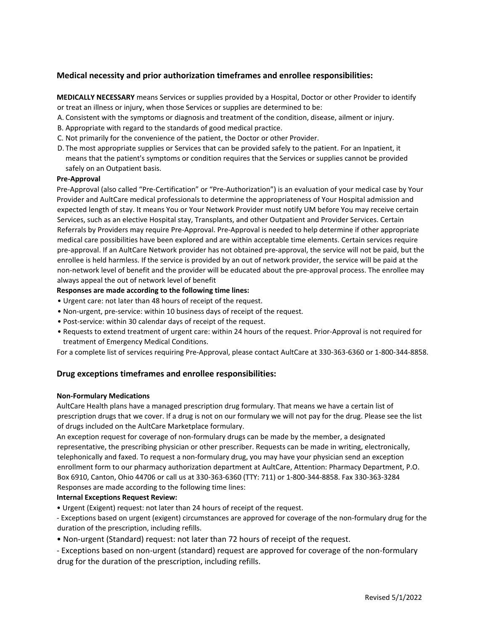# **Medical necessity and prior authorization timeframes and enrollee responsibilities:**

**MEDICALLY NECESSARY** means Services or supplies provided by a Hospital, Doctor or other Provider to identify or treat an illness or injury, when those Services or supplies are determined to be:

- A. Consistent with the symptoms or diagnosis and treatment of the condition, disease, ailment or injury.
- B. Appropriate with regard to the standards of good medical practice.
- C. Not primarily for the convenience of the patient, the Doctor or other Provider.
- D. The most appropriate supplies or Services that can be provided safely to the patient. For an Inpatient, it means that the patient's symptoms or condition requires that the Services or supplies cannot be provided safely on an Outpatient basis.

#### **Pre-Approval**

Pre-Approval (also called "Pre-Certification" or "Pre-Authorization") is an evaluation of your medical case by Your Provider and AultCare medical professionals to determine the appropriateness of Your Hospital admission and expected length of stay. It means You or Your Network Provider must notify UM before You may receive certain Services, such as an elective Hospital stay, Transplants, and other Outpatient and Provider Services. Certain Referrals by Providers may require Pre-Approval. Pre-Approval is needed to help determine if other appropriate medical care possibilities have been explored and are within acceptable time elements. Certain services require pre-approval. If an AultCare Network provider has not obtained pre-approval, the service will not be paid, but the enrollee is held harmless. If the service is provided by an out of network provider, the service will be paid at the non-network level of benefit and the provider will be educated about the pre-approval process. The enrollee may always appeal the out of network level of benefit

#### **Responses are made according to the following time lines:**

- Urgent care: not later than 48 hours of receipt of the request.
- Non-urgent, pre-service: within 10 business days of receipt of the request.
- Post-service: within 30 calendar days of receipt of the request.
- Requests to extend treatment of urgent care: within 24 hours of the request. Prior-Approval is not required for treatment of Emergency Medical Conditions.

For a complete list of services requiring Pre-Approval, please contact AultCare at 330-363-6360 or 1-800-344-8858.

# **Drug exceptions timeframes and enrollee responsibilities:**

#### **Non-Formulary Medications**

AultCare Health plans have a managed prescription drug formulary. That means we have a certain list of prescription drugs that we cover. If a drug is not on our formulary we will not pay for the drug. Please see the list of drugs included on the AultCare Marketplace formulary.

An exception request for coverage of non-formulary drugs can be made by the member, a designated representative, the prescribing physician or other prescriber. Requests can be made in writing, electronically, telephonically and faxed. To request a non-formulary drug, you may have your physician send an exception enrollment form to our pharmacy authorization department at AultCare, Attention: Pharmacy Department, P.O. Box 6910, Canton, Ohio 44706 or call us at 330-363-6360 (TTY: 711) or 1-800-344-8858. Fax 330-363-3284 Responses are made according to the following time lines:

#### **Internal Exceptions Request Review:**

• Urgent (Exigent) request: not later than 24 hours of receipt of the request.

- Exceptions based on urgent (exigent) circumstances are approved for coverage of the non-formulary drug for the duration of the prescription, including refills.

- Non-urgent (Standard) request: not later than 72 hours of receipt of the request.
- Exceptions based on non-urgent (standard) request are approved for coverage of the non-formulary drug for the duration of the prescription, including refills.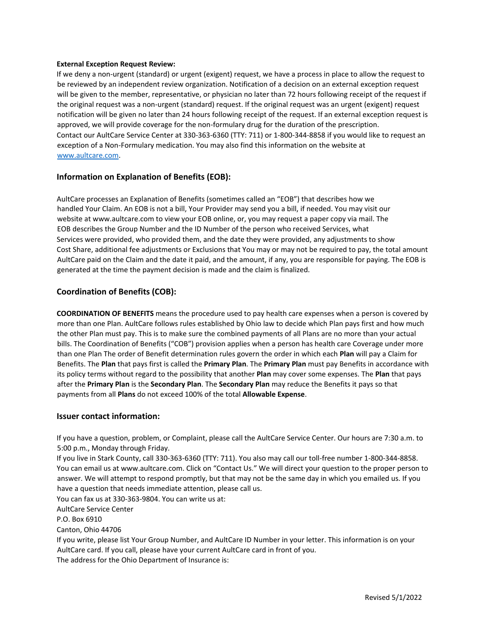#### **External Exception Request Review:**

If we deny a non-urgent (standard) or urgent (exigent) request, we have a process in place to allow the request to be reviewed by an independent review organization. Notification of a decision on an external exception request will be given to the member, representative, or physician no later than 72 hours following receipt of the request if the original request was a non-urgent (standard) request. If the original request was an urgent (exigent) request notification will be given no later than 24 hours following receipt of the request. If an external exception request is approved, we will provide coverage for the non-formulary drug for the duration of the prescription. Contact our AultCare Service Center at 330-363-6360 (TTY: 711) or 1-800-344-8858 if you would like to request an exception of a Non-Formulary medication. You may also find this information on the website [at](http://www.aultcare.com/)  [www.aultcare.com.](http://www.aultcare.com/)

## **Information on Explanation of Benefits (EOB):**

AultCare processes an Explanation of Benefits (sometimes called an "EOB") that describes how we handled Your Claim. An EOB is not a bill, Your Provider may send you a bill, if needed. You may visit our website at www.aultcare.com to view your EOB online, or, you may request a paper copy via mail. The EOB describes the Group Number and the ID Number of the person who received Services, what Services were provided, who provided them, and the date they were provided, any adjustments to show Cost Share, additional fee adjustments or Exclusions that You may or may not be required to pay, the total amount AultCare paid on the Claim and the date it paid, and the amount, if any, you are responsible for paying. The EOB is generated at the time the payment decision is made and the claim is finalized.

## **Coordination of Benefits (COB):**

**COORDINATION OF BENEFITS** means the procedure used to pay health care expenses when a person is covered by more than one Plan. AultCare follows rules established by Ohio law to decide which Plan pays first and how much the other Plan must pay. This is to make sure the combined payments of all Plans are no more than your actual bills. The Coordination of Benefits ("COB") provision applies when a person has health care Coverage under more than one Plan The order of Benefit determination rules govern the order in which each **Plan** will pay a Claim for Benefits. The **Plan** that pays first is called the **Primary Plan**. The **Primary Plan** must pay Benefits in accordance with its policy terms without regard to the possibility that another **Plan** may cover some expenses. The **Plan** that pays after the **Primary Plan** is the **Secondary Plan**. The **Secondary Plan** may reduce the Benefits it pays so that payments from all **Plans** do not exceed 100% of the total **Allowable Expense**.

#### **Issuer contact information:**

If you have a question, problem, or Complaint, please call the AultCare Service Center. Our hours are 7:30 a.m. to 5:00 p.m., Monday through Friday.

If you live in Stark County, call 330-363-6360 (TTY: 711). You also may call our toll-free number 1-800-344-8858. You can email us at www.aultcare.com. Click on "Contact Us." We will direct your question to the proper person to answer. We will attempt to respond promptly, but that may not be the same day in which you emailed us. If you have a question that needs immediate attention, please call us.

You can fax us at 330-363-9804. You can write us at:

AultCare Service Center

P.O. Box 6910

Canton, Ohio 44706

If you write, please list Your Group Number, and AultCare ID Number in your letter. This information is on your AultCare card. If you call, please have your current AultCare card in front of you. The address for the Ohio Department of Insurance is: